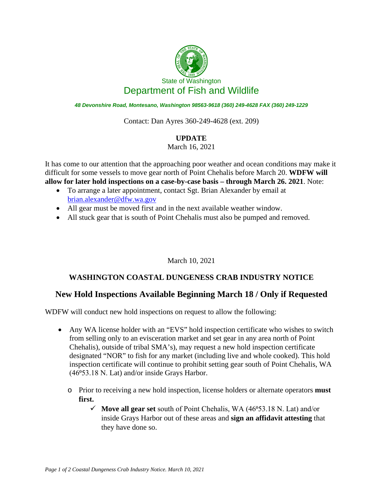

*48 Devonshire Road, Montesano, Washington 98563-9618 (360) 249-4628 FAX (360) 249-1229*

Contact: Dan Ayres 360-249-4628 (ext. 209)

## **UPDATE**

March 16, 2021

It has come to our attention that the approaching poor weather and ocean conditions may make it difficult for some vessels to move gear north of Point Chehalis before March 20. **WDFW will allow for later hold inspections on a case-by-case basis – through March 26. 2021**. Note:

- To arrange a later appointment, contact Sgt. Brian Alexander by email at [brian.alexander@dfw.wa.gov](mailto:brian.alexander@dfw.wa.gov)
- All gear must be moved first and in the next available weather window.
- All stuck gear that is south of Point Chehalis must also be pumped and removed.

## March 10, 2021

## **WASHINGTON COASTAL DUNGENESS CRAB INDUSTRY NOTICE**

## **New Hold Inspections Available Beginning March 18 / Only if Requested**

WDFW will conduct new hold inspections on request to allow the following:

- Any WA license holder with an "EVS" hold inspection certificate who wishes to switch from selling only to an evisceration market and set gear in any area north of Point Chehalis), outside of tribal SMA's), may request a new hold inspection certificate designated "NOR" to fish for any market (including live and whole cooked). This hold inspection certificate will continue to prohibit setting gear south of Point Chehalis, WA  $(46<sup>0</sup>53.18$  N. Lat) and/or inside Grays Harbor.
	- o Prior to receiving a new hold inspection, license holders or alternate operators **must first.**
		- $\checkmark$  Move all gear set south of Point Chehalis, WA (46<sup>o</sup>53.18 N. Lat) and/or inside Grays Harbor out of these areas and **sign an affidavit attesting** that they have done so.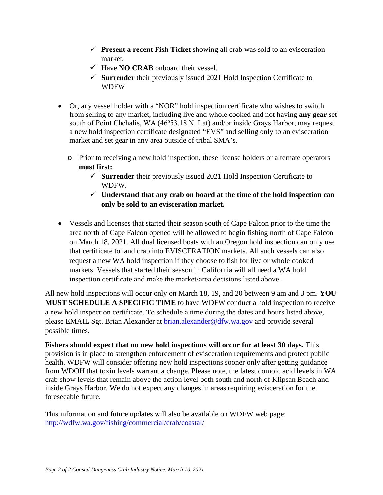- **Present a recent Fish Ticket** showing all crab was sold to an evisceration market.
- $\checkmark$  Have **NO CRAB** onboard their vessel.
- **Surrender** their previously issued 2021 Hold Inspection Certificate to WDFW
- Or, any vessel holder with a "NOR" hold inspection certificate who wishes to switch from selling to any market, including live and whole cooked and not having **any gear** set south of Point Chehalis, WA (46°53.18 N. Lat) and/or inside Grays Harbor, may request a new hold inspection certificate designated "EVS" and selling only to an evisceration market and set gear in any area outside of tribal SMA's.
	- o Prior to receiving a new hold inspection, these license holders or alternate operators **must first:**
		- **Surrender** their previously issued 2021 Hold Inspection Certificate to WDFW.
		- **Understand that any crab on board at the time of the hold inspection can only be sold to an evisceration market.**
- Vessels and licenses that started their season south of Cape Falcon prior to the time the area north of Cape Falcon opened will be allowed to begin fishing north of Cape Falcon on March 18, 2021. All dual licensed boats with an Oregon hold inspection can only use that certificate to land crab into EVISCERATION markets. All such vessels can also request a new WA hold inspection if they choose to fish for live or whole cooked markets. Vessels that started their season in California will all need a WA hold inspection certificate and make the market/area decisions listed above.

All new hold inspections will occur only on March 18, 19, and 20 between 9 am and 3 pm. **YOU MUST SCHEDULE A SPECIFIC TIME** to have WDFW conduct a hold inspection to receive a new hold inspection certificate. To schedule a time during the dates and hours listed above, please EMAIL Sgt. Brian Alexander at [brian.alexander@dfw.wa.gov](mailto:brian.alexander@dfw.wa.gov) and provide several possible times.

**Fishers should expect that no new hold inspections will occur for at least 30 days.** This provision is in place to strengthen enforcement of evisceration requirements and protect public health. WDFW will consider offering new hold inspections sooner only after getting guidance from WDOH that toxin levels warrant a change. Please note, the latest domoic acid levels in WA crab show levels that remain above the action level both south and north of Klipsan Beach and inside Grays Harbor. We do not expect any changes in areas requiring evisceration for the foreseeable future.

This information and future updates will also be available on WDFW web page: <http://wdfw.wa.gov/fishing/commercial/crab/coastal/>